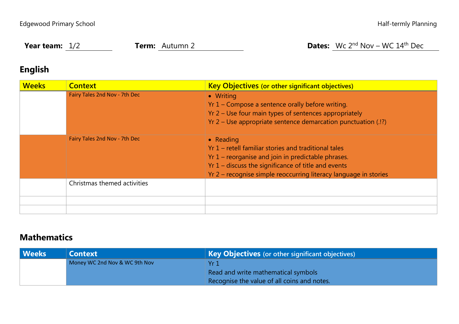**Year team:** 1/2 **Term:** Autumn 2 **Dates:** Wc 2<sup>nd</sup> Nov – WC 14<sup>th</sup> Dec

## **English**

| <b>Weeks</b> | <b>Context</b>                | <b>Key Objectives (or other significant objectives)</b>                                                                                                                                  |  |  |  |
|--------------|-------------------------------|------------------------------------------------------------------------------------------------------------------------------------------------------------------------------------------|--|--|--|
|              | Fairy Tales 2nd Nov - 7th Dec | • Writing                                                                                                                                                                                |  |  |  |
|              |                               | Yr 1 – Compose a sentence orally before writing.                                                                                                                                         |  |  |  |
|              |                               | Yr 2 – Use four main types of sentences appropriately                                                                                                                                    |  |  |  |
|              |                               | Yr 2 – Use appropriate sentence demarcation punctuation (.!?)                                                                                                                            |  |  |  |
|              | Fairy Tales 2nd Nov - 7th Dec | $\bullet$ Reading<br>Yr 1 – retell familiar stories and traditional tales<br>Yr 1 – reorganise and join in predictable phrases.<br>$Yr 1$ – discuss the significance of title and events |  |  |  |
|              |                               | Yr 2 – recognise simple reoccurring literacy language in stories                                                                                                                         |  |  |  |
|              | Christmas themed activities   |                                                                                                                                                                                          |  |  |  |
|              |                               |                                                                                                                                                                                          |  |  |  |
|              |                               |                                                                                                                                                                                          |  |  |  |

## **Mathematics**

| Weeks | <b>Key Objectives</b> (or other significant objectives)<br><b>Context</b> |                                             |  |  |
|-------|---------------------------------------------------------------------------|---------------------------------------------|--|--|
|       | Money WC 2nd Nov & WC 9th Nov                                             | Yr ∖                                        |  |  |
|       |                                                                           | Read and write mathematical symbols         |  |  |
|       |                                                                           | Recognise the value of all coins and notes. |  |  |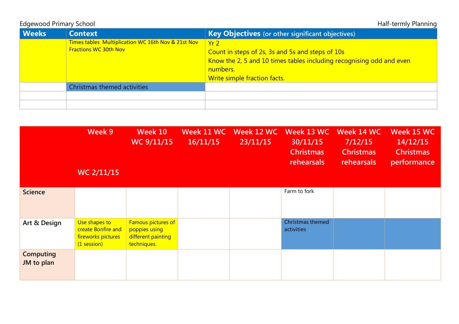Edgewood Primary School and the state of the state of the state of the Half-termly Planning

| <b>Weeks</b> | <b>Context</b>                                                                     | <b>Key Objectives</b> (or other significant objectives)                                                                                                                                 |  |  |  |
|--------------|------------------------------------------------------------------------------------|-----------------------------------------------------------------------------------------------------------------------------------------------------------------------------------------|--|--|--|
|              | Times tables Multiplication WC 16th Nov & 21st Nov<br><b>Fractions WC 30th Nov</b> | Yr <sub>2</sub><br>Count in steps of 2s, 3s and 5s and steps of 10s<br>Know the 2, 5 and 10 times tables including recognising odd and even<br>numbers.<br>Write simple fraction facts. |  |  |  |
|              | Christmas themed activities                                                        |                                                                                                                                                                                         |  |  |  |
|              |                                                                                    |                                                                                                                                                                                         |  |  |  |
|              |                                                                                    |                                                                                                                                                                                         |  |  |  |

|                                | Week 9<br><b>WC 2/11/15</b>                                              | Week 10<br>WC 9/11/15                                                           | Week 11 WC<br>16/11/15 | Week 12 WC<br>23/11/15 | Week 13 WC<br>30/11/15<br><b>Christmas</b><br><b>rehearsals</b> | Week 14 WC<br>7/12/15<br><b>Christmas</b><br>rehearsals | Week 15 WC<br>14/12/15<br><b>Christmas</b><br>performance |
|--------------------------------|--------------------------------------------------------------------------|---------------------------------------------------------------------------------|------------------------|------------------------|-----------------------------------------------------------------|---------------------------------------------------------|-----------------------------------------------------------|
| <b>Science</b>                 |                                                                          |                                                                                 |                        |                        | Farm to fork                                                    |                                                         |                                                           |
| Art & Design                   | Use shapes to<br>create Bonfire and<br>fireworks pictures<br>(1 session) | <b>Famous pictures of</b><br>poppies using<br>different painting<br>techniques. |                        |                        | <b>Christmas themed</b><br>activities                           |                                                         |                                                           |
| <b>Computing</b><br>JM to plan |                                                                          |                                                                                 |                        |                        |                                                                 |                                                         |                                                           |